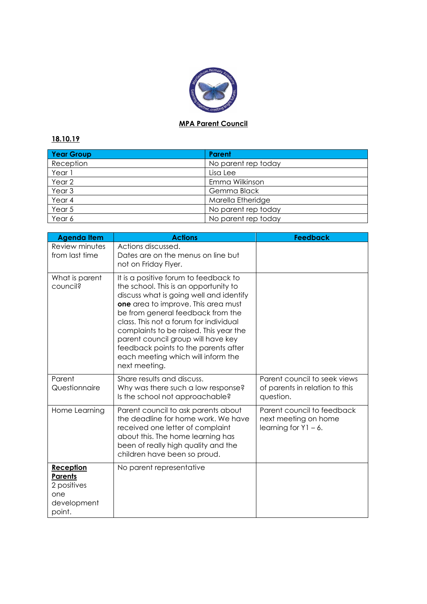

## **MPA Parent Council**

## **18.10.19**

| Year Group        | Parent              |
|-------------------|---------------------|
| Reception         | No parent rep today |
| Year 1            | Lisa Lee            |
| Year 2            | Emma Wilkinson      |
| Year <sub>3</sub> | Gemma Black         |
| Year 4            | Marella Etheridge   |
| Year 5            | No parent rep today |
| Year 6            | No parent rep today |

| <b>Agenda Item</b>                                                         | <b>Actions</b>                                                                                                                                                                                                                                                                                                                                                                                                                 | <b>Feedback</b>                                                               |
|----------------------------------------------------------------------------|--------------------------------------------------------------------------------------------------------------------------------------------------------------------------------------------------------------------------------------------------------------------------------------------------------------------------------------------------------------------------------------------------------------------------------|-------------------------------------------------------------------------------|
| Review minutes<br>from last time                                           | Actions discussed.<br>Dates are on the menus on line but<br>not on Friday Flyer.                                                                                                                                                                                                                                                                                                                                               |                                                                               |
| What is parent<br>council?                                                 | It is a positive forum to feedback to<br>the school. This is an opportunity to<br>discuss what is going well and identify<br>one area to improve. This area must<br>be from general feedback from the<br>class. This not a forum for individual<br>complaints to be raised. This year the<br>parent council group will have key<br>feedback points to the parents after<br>each meeting which will inform the<br>next meeting. |                                                                               |
| Parent<br>Questionnaire                                                    | Share results and discuss.<br>Why was there such a low response?<br>Is the school not approachable?                                                                                                                                                                                                                                                                                                                            | Parent council to seek views<br>of parents in relation to this<br>question.   |
| Home Learning                                                              | Parent council to ask parents about<br>the deadline for home work. We have<br>received one letter of complaint<br>about this. The home learning has<br>been of really high quality and the<br>children have been so proud.                                                                                                                                                                                                     | Parent council to feedback<br>next meeting on home<br>learning for $Y1 - 6$ . |
| Reception<br><b>Parents</b><br>2 positives<br>one<br>development<br>point. | No parent representative                                                                                                                                                                                                                                                                                                                                                                                                       |                                                                               |